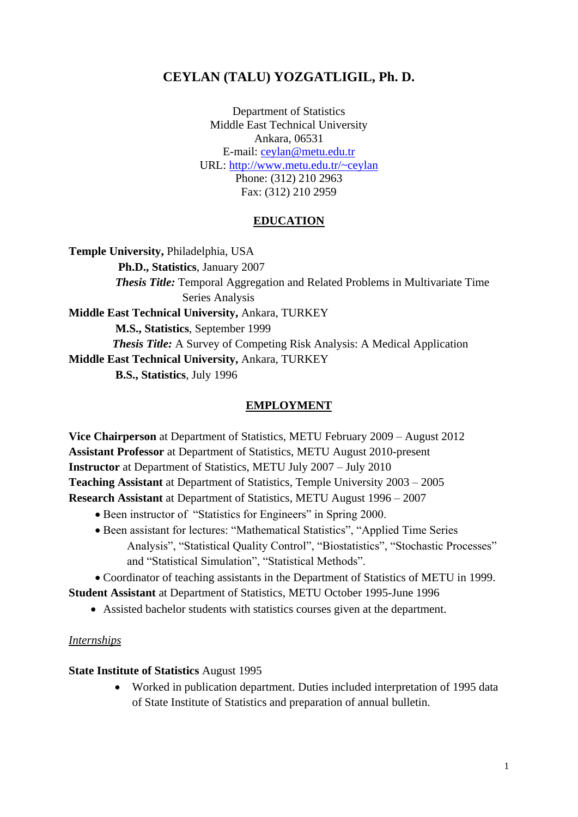# **CEYLAN (TALU) YOZGATLIGIL, Ph. D.**

Department of Statistics Middle East Technical University Ankara, 06531 E-mail: [ceylan@metu.edu.tr](mailto:ceylan@metu.edu.tr) URL:<http://www.metu.edu.tr/~ceylan> Phone: (312) 210 2963 Fax: (312) 210 2959

#### **EDUCATION**

**Temple University,** Philadelphia, USA  **Ph.D., Statistics**, January 2007  *Thesis Title:* Temporal Aggregation and Related Problems in Multivariate Time Series Analysis **Middle East Technical University,** Ankara, TURKEY  **M.S., Statistics**, September 1999  *Thesis Title:* A Survey of Competing Risk Analysis: A Medical Application **Middle East Technical University,** Ankara, TURKEY  **B.S., Statistics**, July 1996

#### **EMPLOYMENT**

**Vice Chairperson** at Department of Statistics, METU February 2009 – August 2012 **Assistant Professor** at Department of Statistics, METU August 2010-present **Instructor** at Department of Statistics, METU July 2007 – July 2010 **Teaching Assistant** at Department of Statistics, Temple University 2003 – 2005 **Research Assistant** at Department of Statistics, METU August 1996 – 2007

- Been instructor of "Statistics for Engineers" in Spring 2000.
- Been assistant for lectures: "Mathematical Statistics", "Applied Time Series Analysis", "Statistical Quality Control", "Biostatistics", "Stochastic Processes" and "Statistical Simulation", "Statistical Methods".

Coordinator of teaching assistants in the Department of Statistics of METU in 1999.

**Student Assistant** at Department of Statistics, METU October 1995-June 1996

Assisted bachelor students with statistics courses given at the department.

#### *Internships*

**State Institute of Statistics** August 1995

 Worked in publication department. Duties included interpretation of 1995 data of State Institute of Statistics and preparation of annual bulletin.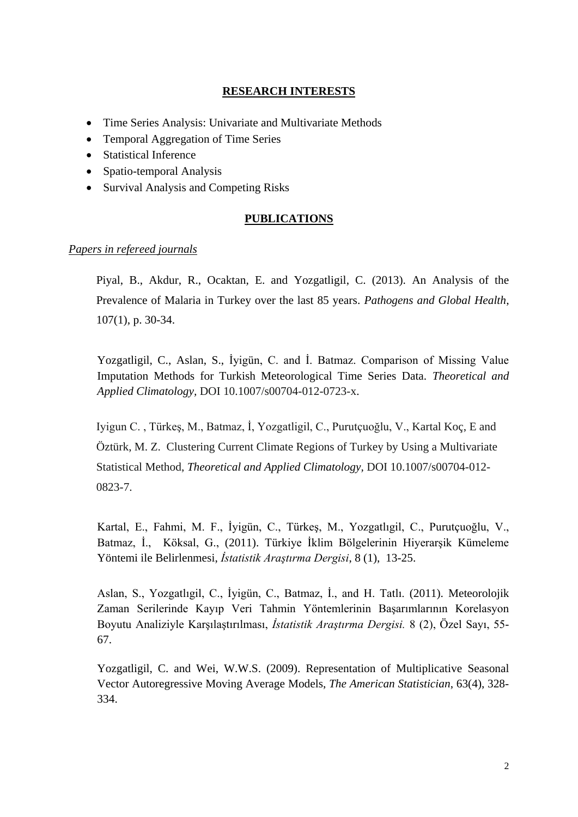### **RESEARCH INTERESTS**

- Time Series Analysis: Univariate and Multivariate Methods
- Temporal Aggregation of Time Series
- Statistical Inference
- Spatio-temporal Analysis
- Survival Analysis and Competing Risks

### **PUBLICATIONS**

### *Papers in refereed journals*

Piyal, B., Akdur, R., Ocaktan, E. and Yozgatligil, C. (2013). An Analysis of the Prevalence of Malaria in Turkey over the last 85 years. *Pathogens and Global Health*, 107(1), p. 30-34.

Yozgatligil, C., Aslan, S., İyigün, C. and İ. Batmaz. Comparison of Missing Value Imputation Methods for Turkish Meteorological Time Series Data. *Theoretical and Applied Climatology,* DOI 10.1007/s00704-012-0723-x.

Iyigun C. , Türkeş, M., Batmaz, İ, Yozgatligil, C., Purutçuoğlu, V., Kartal Koç, E and Öztürk, M. Z. Clustering Current Climate Regions of Turkey by Using a Multivariate Statistical Method, *Theoretical and Applied Climatology,* DOI 10.1007/s00704-012- 0823-7.

Kartal, E., Fahmi, M. F., İyigün, C., Türkeş, M., Yozgatlıgil, C., Purutçuoğlu, V., Batmaz, İ., Köksal, G., (2011). Türkiye İklim Bölgelerinin Hiyerarşik Kümeleme Yöntemi ile Belirlenmesi, *İstatistik Araştırma Dergisi*, 8 (1), 13-25.

Aslan, S., Yozgatlıgil, C., İyigün, C., Batmaz, İ., and H. Tatlı. (2011). Meteorolojik Zaman Serilerinde Kayıp Veri Tahmin Yöntemlerinin Başarımlarının Korelasyon Boyutu Analiziyle Karşılaştırılması, *İstatistik Araştırma Dergisi.* 8 (2), Özel Sayı, 55- 67.

Yozgatligil, C. and Wei, W.W.S. (2009). Representation of Multiplicative Seasonal Vector Autoregressive Moving Average Models, *The American Statistician*, 63(4), 328- 334.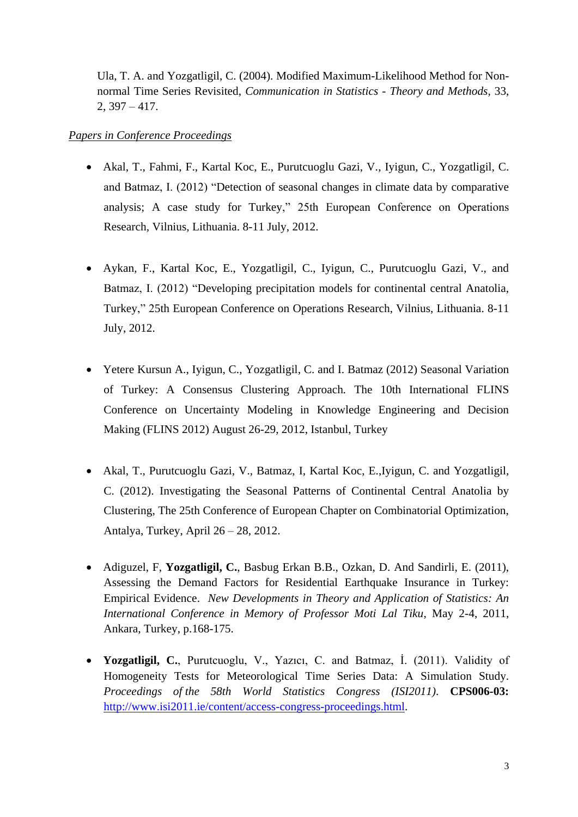Ula, T. A. and Yozgatligil, C. (2004). Modified Maximum-Likelihood Method for Nonnormal Time Series Revisited, *Communication in Statistics - Theory and Methods*, 33,  $2, 397 - 417.$ 

#### *Papers in Conference Proceedings*

- Akal, T., Fahmi, F., Kartal Koc, E., Purutcuoglu Gazi, V., Iyigun, C., Yozgatligil, C. and Batmaz, I. (2012) "Detection of seasonal changes in climate data by comparative analysis; A case study for Turkey," 25th European Conference on Operations Research, Vilnius, Lithuania. 8-11 July, 2012.
- Aykan, F., Kartal Koc, E., Yozgatligil, C., Iyigun, C., Purutcuoglu Gazi, V., and Batmaz, I. (2012) "Developing precipitation models for continental central Anatolia, Turkey," 25th European Conference on Operations Research, Vilnius, Lithuania. 8-11 July, 2012.
- Yetere Kursun A., Iyigun, C., Yozgatligil, C. and I. Batmaz (2012) Seasonal Variation of Turkey: A Consensus Clustering Approach*.* The 10th International FLINS Conference on Uncertainty Modeling in Knowledge Engineering and Decision Making (FLINS 2012) August 26-29, 2012, Istanbul, Turkey
- Akal, T., Purutcuoglu Gazi, V., Batmaz, I, Kartal Koc, E.,Iyigun, C. and Yozgatligil, C. (2012). Investigating the Seasonal Patterns of Continental Central Anatolia by Clustering, The 25th Conference of European Chapter on Combinatorial Optimization, Antalya, Turkey, April 26 – 28, 2012.
- Adiguzel, F, **Yozgatligil, C.**, Basbug Erkan B.B., Ozkan, D. And Sandirli, E. (2011), Assessing the Demand Factors for Residential Earthquake Insurance in Turkey: Empirical Evidence. *New Developments in Theory and Application of Statistics: An International Conference in Memory of Professor Moti Lal Tiku*, May 2-4, 2011, Ankara, Turkey, p.168-175.
- **Yozgatligil, C.**, Purutcuoglu, V., Yazıcı, C. and Batmaz, İ. (2011). Validity of Homogeneity Tests for Meteorological Time Series Data: A Simulation Study. *Proceedings of the 58th World Statistics Congress (ISI2011)*. **CPS006-03:** [http://www.isi2011.ie/content/access-congress-proceedings.html.](http://www.isi2011.ie/content/access-congress-proceedings.html)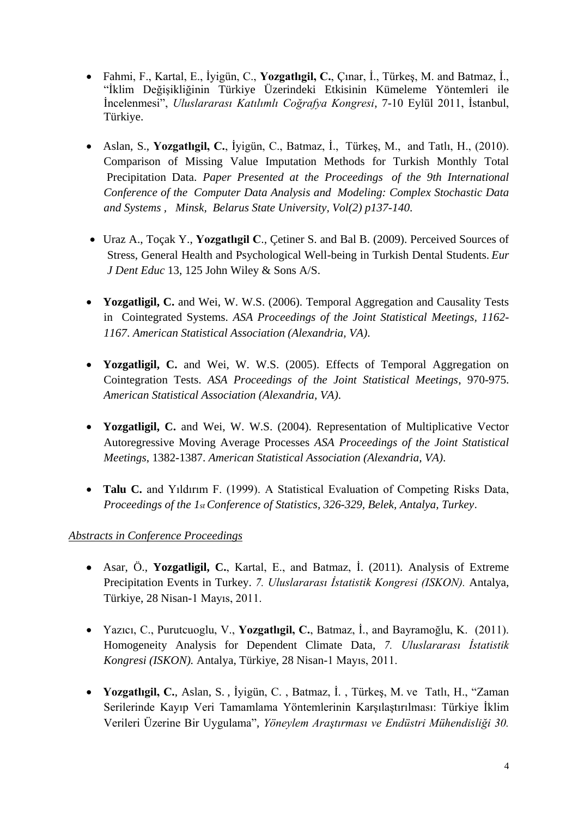- Fahmi, F., Kartal, E., İyigün, C., **Yozgatlıgil, C.**, Çınar, İ., Türkeş, M. and Batmaz, İ., "İklim Değişikliğinin Türkiye Üzerindeki Etkisinin Kümeleme Yöntemleri ile İncelenmesi", *Uluslararası Katılımlı Coğrafya Kongresi*, 7-10 Eylül 2011, İstanbul, Türkiye.
- Aslan, S., **Yozgatlıgil, C.**, İyigün, C., Batmaz, İ., Türkeş, M., and Tatlı, H., (2010). Comparison of Missing Value Imputation Methods for Turkish Monthly Total Precipitation Data. *Paper Presented at the Proceedings of the 9th International Conference of the Computer Data Analysis and Modeling: Complex Stochastic Data and Systems , Minsk, Belarus State University, Vol(2) p137-140*.
- Uraz A., Toçak Y., **Yozgatlıgil C**., Çetiner S. and Bal B. (2009). Perceived Sources of Stress, General Health and Psychological Well-being in Turkish Dental Students. *Eur J Dent Educ* 13, 125 John Wiley & Sons A/S.
- **Yozgatligil, C.** and Wei, W. W.S. (2006). Temporal Aggregation and Causality Tests in Cointegrated Systems. *ASA Proceedings of the Joint Statistical Meetings, 1162- 1167*. *American Statistical Association (Alexandria, VA)*.
- **Yozgatligil, C.** and Wei, W. W.S. (2005). Effects of Temporal Aggregation on Cointegration Tests. *ASA Proceedings of the Joint Statistical Meetings*, 970-975. *American Statistical Association (Alexandria, VA)*.
- **Yozgatligil, C.** and Wei, W. W.S. (2004). Representation of Multiplicative Vector Autoregressive Moving Average Processes *ASA Proceedings of the Joint Statistical Meetings*, 1382-1387. *American Statistical Association (Alexandria, VA)*.
- **Talu C.** and Yıldırım F. (1999). A Statistical Evaluation of Competing Risks Data, *Proceedings of the 1st Conference of Statistics, 326-329, Belek, Antalya, Turkey*.

# *Abstracts in Conference Proceedings*

- Asar, Ö., **Yozgatligil, C.**, Kartal, E., and Batmaz, İ. (2011). Analysis of Extreme Precipitation Events in Turkey. *7. Uluslararası İstatistik Kongresi (ISKON).* Antalya, Türkiye, 28 Nisan-1 Mayıs, 2011.
- Yazıcı, C., Purutcuoglu, V., **Yozgatlıgil, C.**, Batmaz, İ., and Bayramoğlu, K. (2011). Homogeneity Analysis for Dependent Climate Data, *7. Uluslararası İstatistik Kongresi (ISKON).* Antalya, Türkiye, 28 Nisan-1 Mayıs, 2011.
- **Yozgatlıgil, C.**, Aslan, S. , İyigün, C. , Batmaz, İ. , Türkeş, M. ve Tatlı, H., "Zaman Serilerinde Kayıp Veri Tamamlama Yöntemlerinin Karşılaştırılması: Türkiye İklim Verileri Üzerine Bir Uygulama", *Yöneylem Araştırması ve Endüstri Mühendisliği 30.*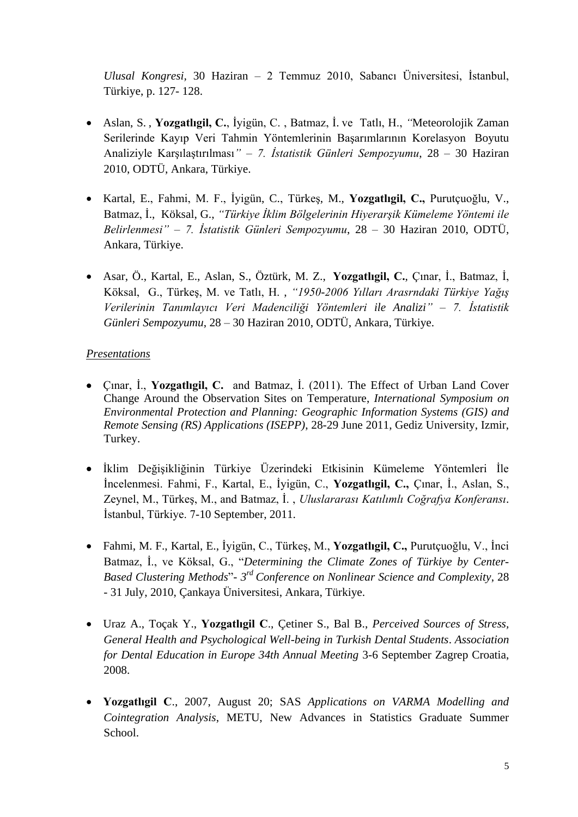*Ulusal Kongresi,* 30 Haziran – 2 Temmuz 2010, Sabancı Üniversitesi, İstanbul, Türkiye, p. 127- 128.

- Aslan, S. , **Yozgatlıgil, C.**, İyigün, C. , Batmaz, İ. ve Tatlı, H., *"*Meteorolojik Zaman Serilerinde Kayıp Veri Tahmin Yöntemlerinin Başarımlarının Korelasyon Boyutu Analiziyle Karşılaştırılması*"* – *7. İstatistik Günleri Sempozyumu*, 28 – 30 Haziran 2010, ODTÜ, Ankara, Türkiye.
- Kartal, E., Fahmi, M. F., İyigün, C., Türkeş, M., **Yozgatlıgil, C.,** Purutçuoğlu, V., Batmaz, İ., Köksal, G., *"Türkiye İklim Bölgelerinin Hiyerarşik Kümeleme Yöntemi ile Belirlenmesi"* – *7. İstatistik Günleri Sempozyumu*, 28 – 30 Haziran 2010, ODTÜ, Ankara, Türkiye.
- Asar, Ö., Kartal, E., Aslan, S., Öztürk, M. Z., **Yozgatlıgil, C.**, Çınar, İ., Batmaz, İ, Köksal, G., Türkeş, M. ve Tatlı, H. , *"1950-2006 Yılları Arasrndaki Türkiye Yağış Verilerinin Tanımlayıcı Veri Madenciliği Yöntemleri ile Analizi"* – *7. İstatistik Günleri Sempozyumu*, 28 – 30 Haziran 2010, ODTÜ, Ankara, Türkiye.

### *Presentations*

- Çınar, İ., **Yozgatlıgil, C.** and Batmaz, İ. (2011). The Effect of Urban Land Cover Change Around the Observation Sites on Temperature, *International Symposium on Environmental Protection and Planning: Geographic Information Systems (GIS) and Remote Sensing (RS) Applications (ISEPP)*, 28-29 June 2011, Gediz University, Izmir, Turkey.
- İklim Değişikliğinin Türkiye Üzerindeki Etkisinin Kümeleme Yöntemleri İle İncelenmesi. Fahmi, F., Kartal, E., İyigün, C., **Yozgatlıgil, C.,** Çınar, İ., Aslan, S., Zeynel, M., Türkeş, M., and Batmaz, İ. , *Uluslararası Katılımlı Coğrafya Konferansı*. İstanbul, Türkiye. 7-10 September, 2011.
- Fahmi, M. F., Kartal, E., İyigün, C., Türkeş, M., **Yozgatlıgil, C.,** Purutçuoğlu, V., İnci Batmaz, İ., ve Köksal, G., "*Determining the Climate Zones of Türkiye by Center-Based Clustering Methods*"- *3 rd Conference on Nonlinear Science and Complexity*, 28 - 31 July, 2010, Çankaya Üniversitesi, Ankara, Türkiye.
- Uraz A., Toçak Y., **Yozgatlıgil C**., Çetiner S., Bal B., *Perceived Sources of Stress, General Health and Psychological Well-being in Turkish Dental Students*. *Association for Dental Education in Europe 34th Annual Meeting* 3-6 September Zagrep Croatia, 2008.
- **Yozgatlıgil C**., 2007, August 20; SAS *Applications on VARMA Modelling and Cointegration Analysis*, METU, New Advances in Statistics Graduate Summer School.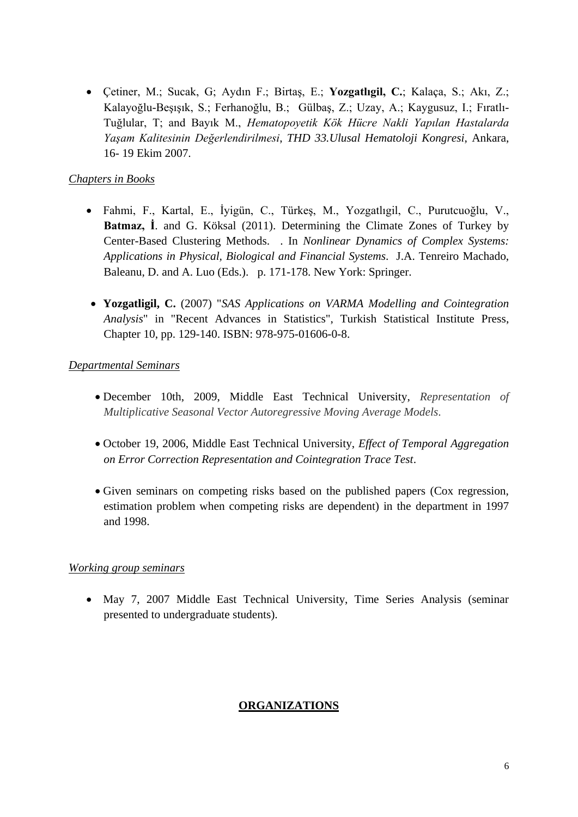Çetiner, M.; Sucak, G; Aydın F.; Birtaş, E.; **Yozgatlıgil, C.**; Kalaça, S.; Akı, Z.; Kalayoğlu-Beşışık, S.; Ferhanoğlu, B.; Gülbaş, Z.; Uzay, A.; Kaygusuz, I.; Fıratlı-Tuğlular, T; and Bayık M., *Hematopoyetik Kök Hücre Nakli Yapılan Hastalarda Yaşam Kalitesinin Değerlendirilmesi*, *THD 33.Ulusal Hematoloji Kongresi*, Ankara, 16- 19 Ekim 2007.

### *Chapters in Books*

- Fahmi, F., Kartal, E., İyigün, C., Türkeş, M., Yozgatlıgil, C., Purutcuoğlu, V., **Batmaz, İ**. and G. Köksal (2011). Determining the Climate Zones of Turkey by Center-Based Clustering Methods. . In *Nonlinear Dynamics of Complex Systems: Applications in Physical, Biological and Financial Systems*. J.A. Tenreiro Machado, Baleanu, D. and A. Luo (Eds.). p. 171-178. New York: Springer.
- **Yozgatligil, C.** (2007) "*SAS Applications on VARMA Modelling and Cointegration Analysis*" in "Recent Advances in Statistics", Turkish Statistical Institute Press, Chapter 10, pp. 129-140. ISBN: 978-975-01606-0-8.

### *Departmental Seminars*

- December 10th, 2009, Middle East Technical University, *Representation of Multiplicative Seasonal Vector Autoregressive Moving Average Models*.
- October 19, 2006, Middle East Technical University, *Effect of Temporal Aggregation on Error Correction Representation and Cointegration Trace Test*.
- Given seminars on competing risks based on the published papers (Cox regression, estimation problem when competing risks are dependent) in the department in 1997 and 1998.

### *Working group seminars*

 May 7, 2007 Middle East Technical University, Time Series Analysis (seminar presented to undergraduate students).

# **ORGANIZATIONS**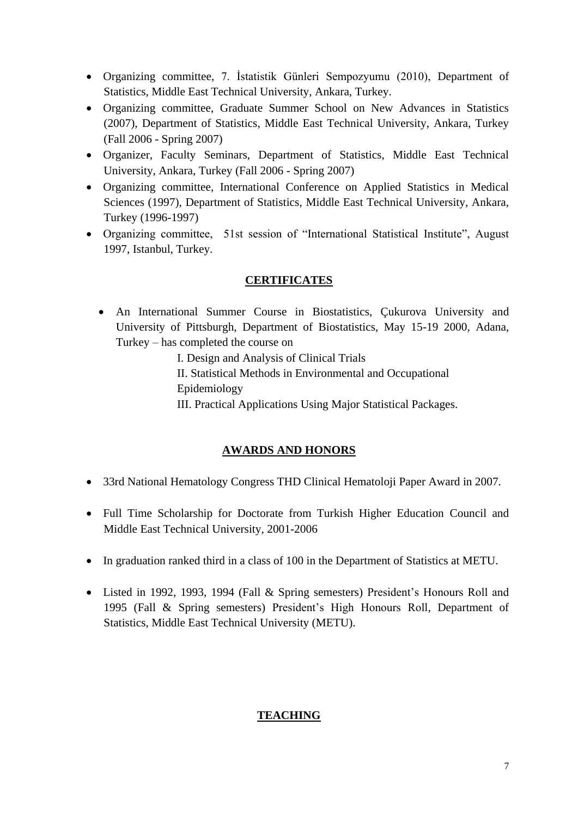- Organizing committee, 7. İstatistik Günleri Sempozyumu (2010), Department of Statistics, Middle East Technical University, Ankara, Turkey.
- Organizing committee, Graduate Summer School on New Advances in Statistics (2007), Department of Statistics, Middle East Technical University, Ankara, Turkey (Fall 2006 - Spring 2007)
- Organizer, Faculty Seminars, Department of Statistics, Middle East Technical University, Ankara, Turkey (Fall 2006 - Spring 2007)
- Organizing committee, International Conference on Applied Statistics in Medical Sciences (1997), Department of Statistics, Middle East Technical University, Ankara, Turkey (1996-1997)
- Organizing committee, 51st session of "International Statistical Institute", August 1997, Istanbul, Turkey.

# **CERTIFICATES**

- An International Summer Course in Biostatistics, Çukurova University and University of Pittsburgh, Department of Biostatistics, May 15-19 2000, Adana, Turkey – has completed the course on
	- I. Design and Analysis of Clinical Trials
	- II. Statistical Methods in Environmental and Occupational
	- Epidemiology
	- III. Practical Applications Using Major Statistical Packages.

# **AWARDS AND HONORS**

- 33rd National Hematology Congress THD Clinical Hematoloji Paper Award in 2007.
- Full Time Scholarship for Doctorate from Turkish Higher Education Council and Middle East Technical University, 2001-2006
- In graduation ranked third in a class of 100 in the Department of Statistics at METU.
- Listed in 1992, 1993, 1994 (Fall & Spring semesters) President's Honours Roll and 1995 (Fall & Spring semesters) President's High Honours Roll, Department of Statistics, Middle East Technical University (METU).

# **TEACHING**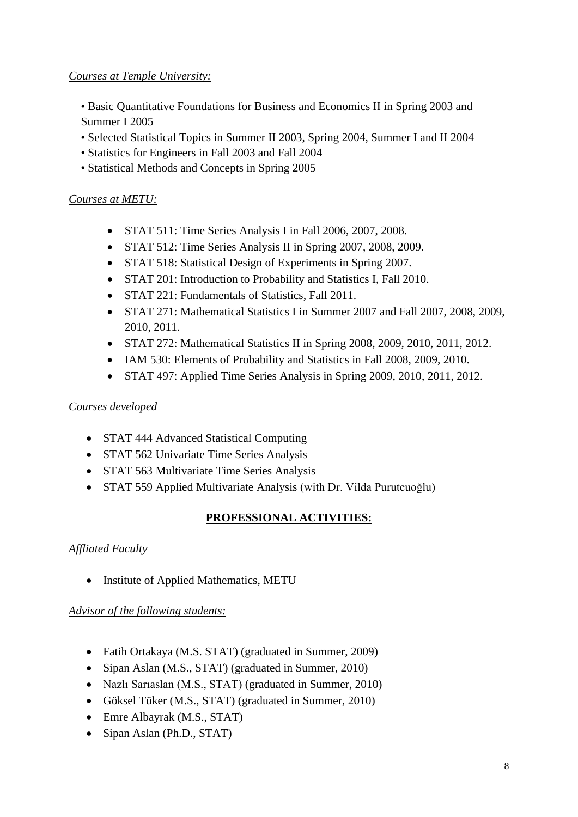# *Courses at Temple University:*

• Basic Quantitative Foundations for Business and Economics II in Spring 2003 and Summer I 2005

- Selected Statistical Topics in Summer II 2003, Spring 2004, Summer I and II 2004
- Statistics for Engineers in Fall 2003 and Fall 2004
- Statistical Methods and Concepts in Spring 2005

### *Courses at METU:*

- STAT 511: Time Series Analysis I in Fall 2006, 2007, 2008.
- STAT 512: Time Series Analysis II in Spring 2007, 2008, 2009.
- STAT 518: Statistical Design of Experiments in Spring 2007.
- STAT 201: Introduction to Probability and Statistics I, Fall 2010.
- STAT 221: Fundamentals of Statistics, Fall 2011.
- STAT 271: Mathematical Statistics I in Summer 2007 and Fall 2007, 2008, 2009, 2010, 2011.
- STAT 272: Mathematical Statistics II in Spring 2008, 2009, 2010, 2011, 2012.
- IAM 530: Elements of Probability and Statistics in Fall 2008, 2009, 2010.
- STAT 497: Applied Time Series Analysis in Spring 2009, 2010, 2011, 2012.

### *Courses developed*

- STAT 444 Advanced Statistical Computing
- STAT 562 Univariate Time Series Analysis
- STAT 563 Multivariate Time Series Analysis
- STAT 559 Applied Multivariate Analysis (with Dr. Vilda Purutcuoğlu)

# **PROFESSIONAL ACTIVITIES:**

### *Affliated Faculty*

• Institute of Applied Mathematics, METU

### *Advisor of the following students:*

- Fatih Ortakaya (M.S. STAT) (graduated in Summer, 2009)
- Sipan Aslan (M.S., STAT) (graduated in Summer, 2010)
- Nazlı Sarıaslan (M.S., STAT) (graduated in Summer, 2010)
- Göksel Tüker (M.S., STAT) (graduated in Summer, 2010)
- Emre Albayrak (M.S., STAT)
- Sipan Aslan (Ph.D., STAT)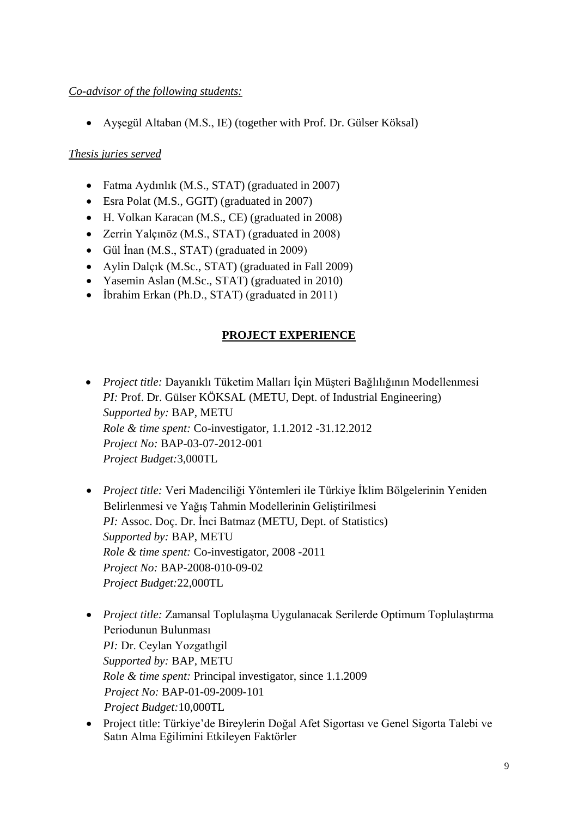### *Co-advisor of the following students:*

Ayşegül Altaban (M.S., IE) (together with Prof. Dr. Gülser Köksal)

# *Thesis juries served*

- Fatma Aydınlık (M.S., STAT) (graduated in 2007)
- Esra Polat (M.S., GGIT) (graduated in 2007)
- H. Volkan Karacan (M.S., CE) (graduated in 2008)
- Zerrin Yalçınöz (M.S., STAT) (graduated in 2008)
- Gül İnan (M.S., STAT) (graduated in 2009)
- Aylin Dalçık (M.Sc., STAT) (graduated in Fall 2009)
- Yasemin Aslan (M.Sc., STAT) (graduated in 2010)
- İbrahim Erkan (Ph.D., STAT) (graduated in 2011)

# **PROJECT EXPERIENCE**

- *Project title:* Dayanıklı Tüketim Malları İçin Müşteri Bağlılığının Modellenmesi *PI:* Prof. Dr. Gülser KÖKSAL (METU, Dept. of Industrial Engineering) *Supported by:* BAP, METU *Role & time spent:* Co-investigator, 1.1.2012 -31.12.2012 *Project No:* BAP-03-07-2012-001 *Project Budget:*3,000TL
- *Project title:* Veri Madenciliği Yöntemleri ile Türkiye İklim Bölgelerinin Yeniden Belirlenmesi ve Yağış Tahmin Modellerinin Geliştirilmesi *PI:* Assoc. Doç. Dr. İnci Batmaz (METU, Dept. of Statistics) *Supported by:* BAP, METU *Role & time spent:* Co-investigator, 2008 -2011 *Project No:* BAP-2008-010-09-02 *Project Budget:*22,000TL
- *Project title:* Zamansal Toplulaşma Uygulanacak Serilerde Optimum Toplulaştırma Periodunun Bulunması *PI:* Dr. Ceylan Yozgatlıgil *Supported by:* BAP, METU *Role & time spent:* Principal investigator, since 1.1.2009 *Project No:* BAP-01-09-2009-101  *Project Budget:*10,000TL
- Project title: Türkiye'de Bireylerin Doğal Afet Sigortası ve Genel Sigorta Talebi ve Satın Alma Eğilimini Etkileyen Faktörler